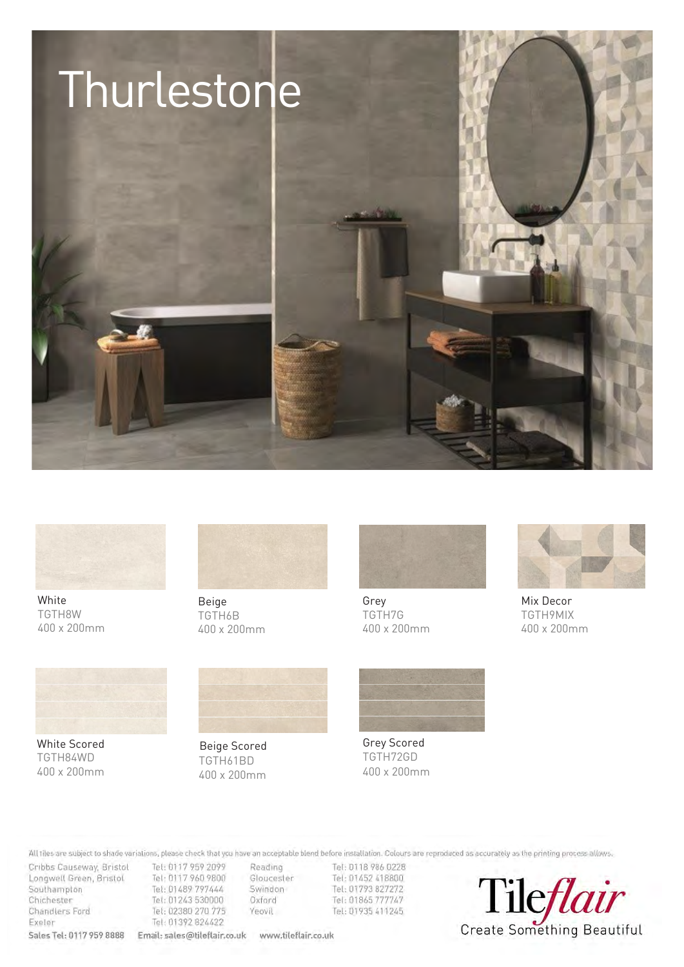



**White** TGTH8W 400 x 200mm



Beige TGTH6B 400 x 200mm



Grey TGTH7G 400 x 200mm



Mix Decor TGTH9MIX 400 x 200mm



Southampton Tel: 01489 797444 Chichester Tel: 01243 530000 Chandlers Ford Tel: 02380 270 775 Exeler Tel: 01392 824422

**Sales Tel: 0117 959 8888 Email: sales@tileflair.co.uk www.tileflair.co.uk** 

White Scored TGTH84WD 400 x 200mm



TGTH61BD 400 x 200mm Beige Scored



Grey Scored TGTH72GD 400 x 200mm

Colonia are reproduced as accurately as the product program at the printing and the product and Cribbs Causeway, Bristol Tel: 0117 959 2099<br>Longwell Green, Bristol Tel: 0117 960 9800 Reading Tel: 0118 986 0228<br>Gloucester Tel: 01452 418800 Please Note: All tiles are subject to shade variations, please check that you have an acceptable blend before installation.

Swindon Tel: 01793 827272 Oxford Tel: 01865 777747 Yeovil Tel: 01935 411245

Tileflair Create Something Beautiful